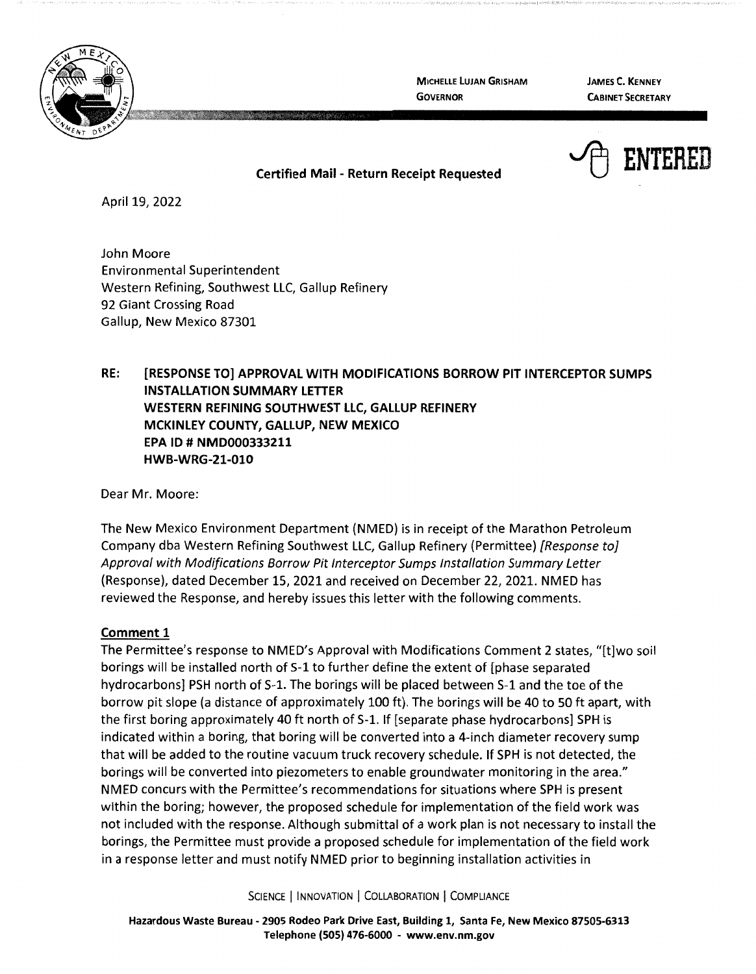

**MICHELLE LUJAN GRISHAM GOVERNOR** 

**JAMES C. KENNEY CABINET SECRETARY** 



## **Certified Mail** - **Return Receipt Requested**

April 19, 2022

John Moore Environmental Superintendent Western Refining, Southwest LLC, Gallup Refinery 92 Giant Crossing Road Gallup, New Mexico 87301

**RE: [RESPONSE TO] APPROVAL WITH MODIFICATIONS BORROW PIT INTERCEPTOR SUMPS INSTALLATION SUMMARY LETTER WESTERN REFINING SOUTHWEST LLC, GALLUP REFINERY MCKINLEY COUNTY, GALLUP, NEW MEXICO EPA ID# NMD000333211 HWB-WRG-21-010** 

Dear Mr. Moore:

The New Mexico Environment Department (NMED) is in receipt of the Marathon Petroleum Company dba Western Refining Southwest LLC, Gallup Refinery (Permittee) [Response to] Approval with Modifications Borrow Pit Interceptor Sumps Installation Summary Letter (Response), dated December 15, 2021 and received on December 22, 2021. NMED has reviewed the Response, and hereby issues this letter with the following comments.

## **Comment 1**

The Permittee's response to NMED's Approval with Modifications Comment 2 states, "(t]wo soil borings will be installed north of 5-1 to further define the extent of [phase separated hydrocarbons] PSH north of S-1. The borings will be placed between S-1 and the toe of the borrow pit slope (a distance of approximately 100 ft). The borings will be 40 to 50 ft apart, with the first boring approximately 40 ft north of S-1. If [separate phase hydrocarbons] SPH is indicated within a boring, that boring will be converted into a 4-inch diameter recovery sump that will be added to the routine vacuum truck recovery schedule. If SPH is not detected, the borings will be converted into piezometers to enable groundwater monitoring in the area." NMED concurs with the Permittee's recommendations for situations where SPH is present within the boring; however, the proposed schedule for implementation of the field work was not included with the response. Although submittal of a work plan is not necessary to install the borings, the Permittee must provide a proposed schedule for implementation of the field work in a response letter and must notify NMED prior to beginning installation activities in

SCIENCE | INNOVATION | COLLABORATION | COMPLIANCE